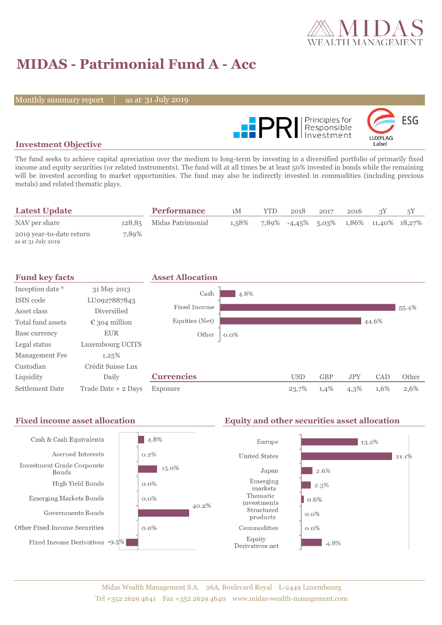

# **MIDAS - Patrimonial Fund A - Acc**

Monthly summary report

31 July 2019



### **Investment Objective**

The fund seeks to achieve capital apreciation over the medium to long-term by investing in a diversified portfolio of primarily fixed income and equity securities (or related instruments). The fund will at all times be at least 50% invested in bonds while the remaining will be invested according to market opportunities. The fund may also be indirectly invested in commodities (including precious metals) and related thematic plays.

| <b>Latest Update</b>                           |       | <b>Performance</b>       | 1M    | <b>YTD</b> | 2018                                   | 2017 | 2016 |  |
|------------------------------------------------|-------|--------------------------|-------|------------|----------------------------------------|------|------|--|
| NAV per share                                  |       | 128,85 Midas Patrimonial | 1.58% |            | 7,89% -4,45% 5,03% 1,86% 11,40% 18,27% |      |      |  |
| 2019 year-to-date return<br>as at 31 July 2019 | 7,89% |                          |       |            |                                        |      |      |  |



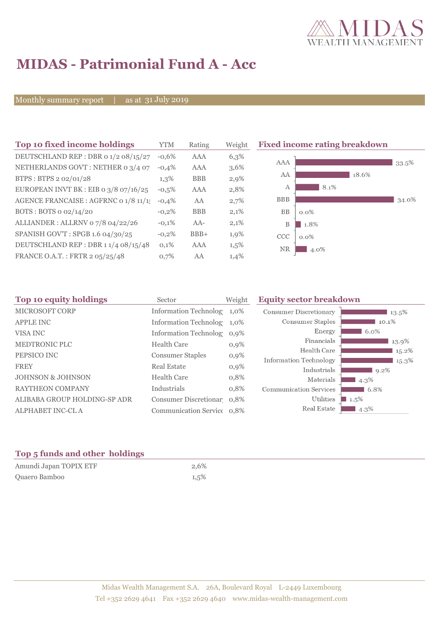

# **MIDAS - Patrimonial Fund A - Acc**

Monthly summary report

31 July 2019

| Top 10 fixed income holdings          | <b>YTM</b> | Rating     | Weigh |
|---------------------------------------|------------|------------|-------|
| DEUTSCHLAND REP : DBR 0 1/2 08/15/27  | $-0.6%$    | AAA        | 6,3%  |
| NETHERLANDS GOVT: NETHER 0 3/4 07     | $-0.4%$    | AAA        | 3,6%  |
| BTPS: BTPS 2 02/01/28                 | $1,3\%$    | <b>BBB</b> | 2,9%  |
| EUROPEAN INVT BK : EIB o 3/8 07/16/25 | $-0.5%$    | AAA        | 2,8%  |
| AGENCE FRANCAISE : AGFRNC 0 1/8 11/1! | $-0,4%$    | AA         | 2,7%  |
| BOTS: BOTS $o$ 02/14/20               | $-0.2%$    | <b>BBB</b> | 2,1%  |
| ALLIANDER: ALLRNV 07/8 04/22/26       | $-0.1%$    | $AA-$      | 2,1%  |
| SPANISH GOV'T: SPGB 1.6 04/30/25      | $-0,2%$    | $BBB+$     | 1,9%  |
| DEUTSCHLAND REP: DBR 11/4 08/15/48    | 0,1%       | AAA        | 1,5%  |
| FRANCE O.A.T.: FRTR 2 05/25/48        | 0.7%       | AA         | 1,4%  |

**The 10 fixed income rating breakdown** 



| Top 10 equity holdings<br>Sector |                                               | <b>Equity sector breakdown</b>                                                                                                                                                     |                        |
|----------------------------------|-----------------------------------------------|------------------------------------------------------------------------------------------------------------------------------------------------------------------------------------|------------------------|
|                                  |                                               | <b>Consumer Discretionary</b>                                                                                                                                                      | 13.5%                  |
|                                  |                                               | Consumer Staples                                                                                                                                                                   | $10.1\%$               |
|                                  |                                               | Energy                                                                                                                                                                             | 6.0%                   |
|                                  |                                               | Financials                                                                                                                                                                         | 13.9%                  |
|                                  |                                               | Health Care                                                                                                                                                                        | 15.2%                  |
|                                  |                                               |                                                                                                                                                                                    | 15.3%                  |
| <b>Real Estate</b>               | $0,9\%$                                       | Industrials                                                                                                                                                                        | 9.2%                   |
| <b>Health Care</b>               | 0,8%                                          | Materials                                                                                                                                                                          | $4.3\%$                |
| Industrials                      | 0,8%                                          | <b>Communication Services</b>                                                                                                                                                      | 6.8%                   |
|                                  |                                               | Utilities                                                                                                                                                                          | $\blacksquare$ 1.5%    |
|                                  |                                               | Real Estate                                                                                                                                                                        | 4.3%                   |
|                                  | <b>Health Care</b><br><b>Consumer Staples</b> | Weight<br>Information Technolog 1,0%<br>Information Technolog 1,0%<br>Information Technolog 0,9%<br>$0,9\%$<br>$0,9\%$<br>Consumer Discretionar 0,8%<br>Communication Service 0,8% | Information Technology |

## **Top 5 funds and other holdings**

| Amundi Japan TOPIX ETF | 2.6% |
|------------------------|------|
| Quaero Bamboo          | 1,5% |